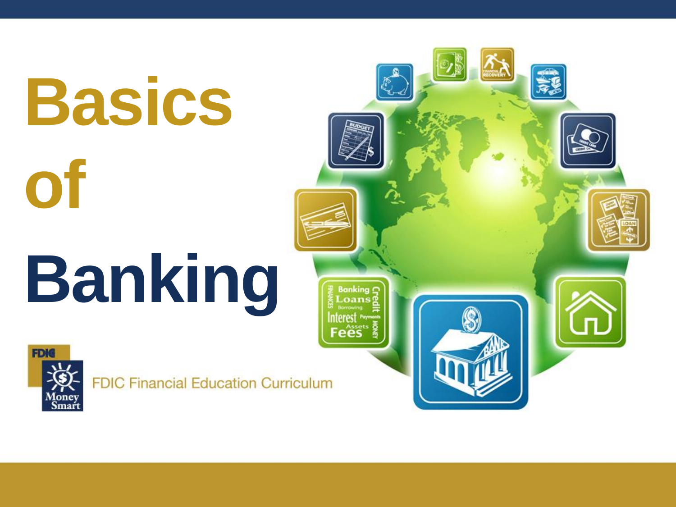# **Basics of Banking**



**FDIC Financial Education Curriculum** 

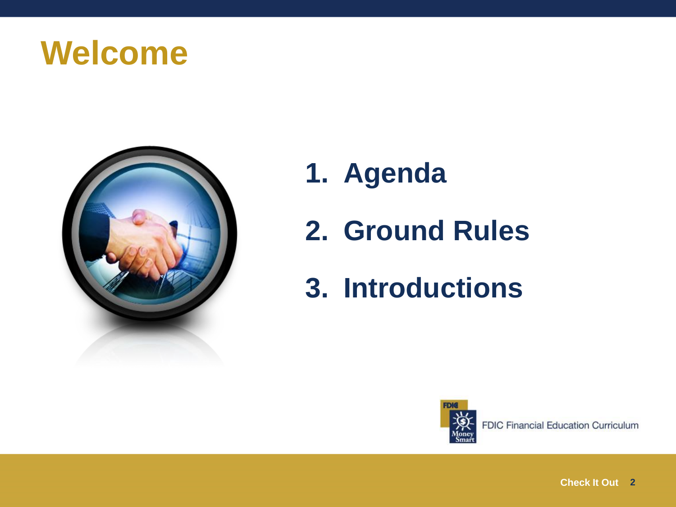



- **1. Agenda**
- **2. Ground Rules**
- **3. Introductions**

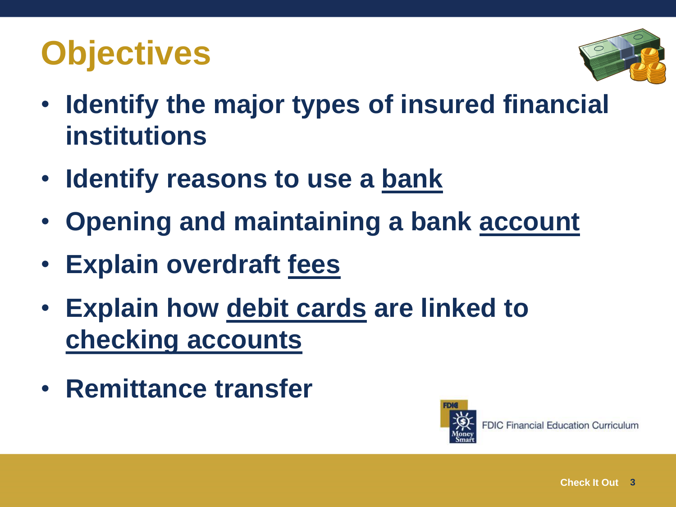## **Objectives**



- **Identify the major types of insured financial institutions**
- **Identify reasons to use a bank**
- **Opening and maintaining a bank account**
- **Explain overdraft fees**
- **Explain how debit cards are linked to checking accounts**
- **Remittance transfer**

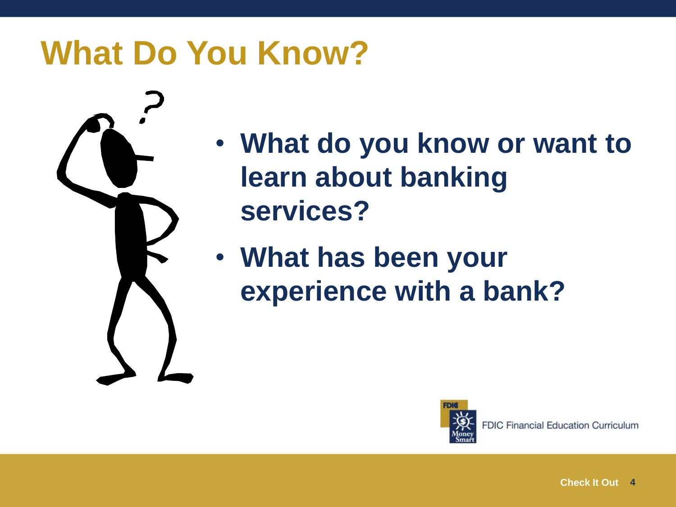#### **What Do You Know?**



- **What do you know or want to learn about banking services?**
- **What has been your experience with a bank?**

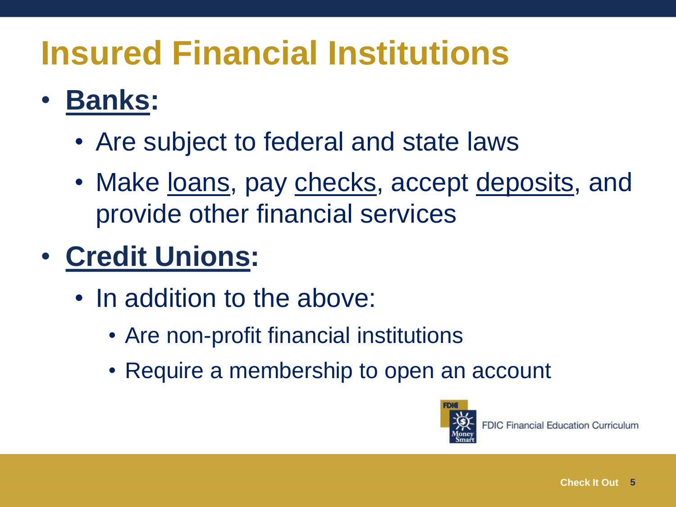### **Insured Financial Institutions**

#### • **Banks:**

- Are subject to federal and state laws
- Make loans, pay checks, accept deposits, and provide other financial services

#### • **Credit Unions:**

- In addition to the above:
	- Are non-profit financial institutions
	- Require a membership to open an account

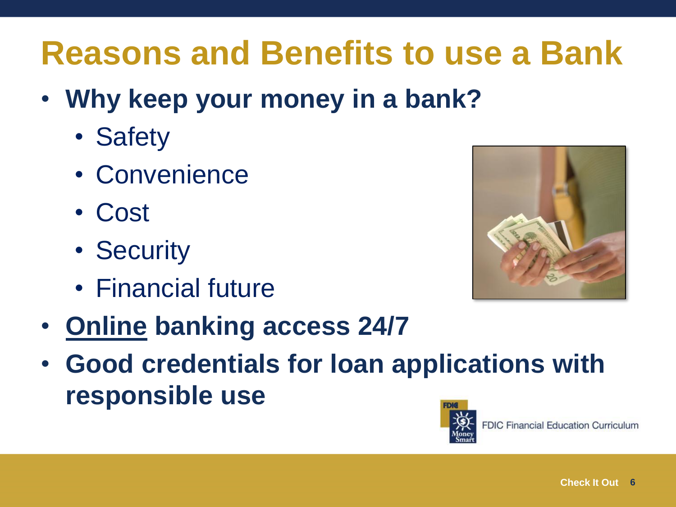### **Reasons and Benefits to use a Bank**

- **Why keep your money in a bank?**
	- Safety
	- Convenience
	- Cost
	- Security
	- Financial future



- **Online banking access 24/7**
- **Good credentials for loan applications with responsible use**

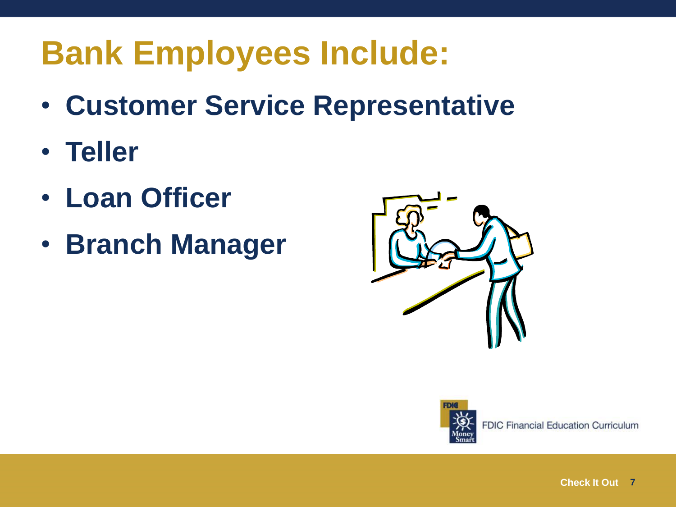#### **Bank Employees Include:**

- **Customer Service Representative**
- **Teller**
- **Loan Officer**
- **Branch Manager**



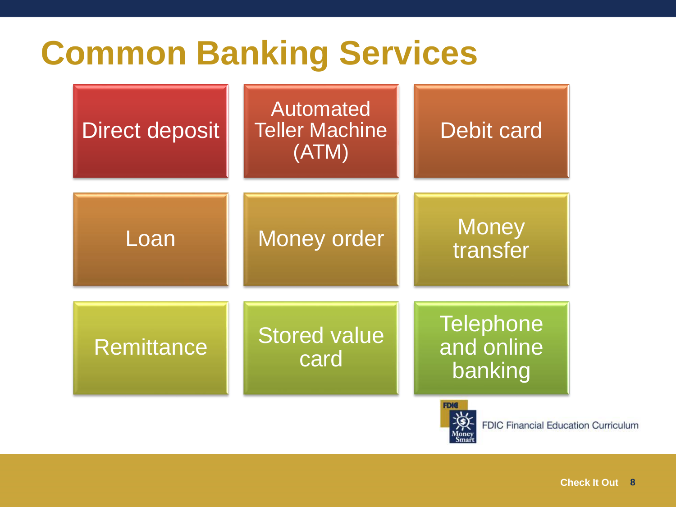#### **Common Banking Services**

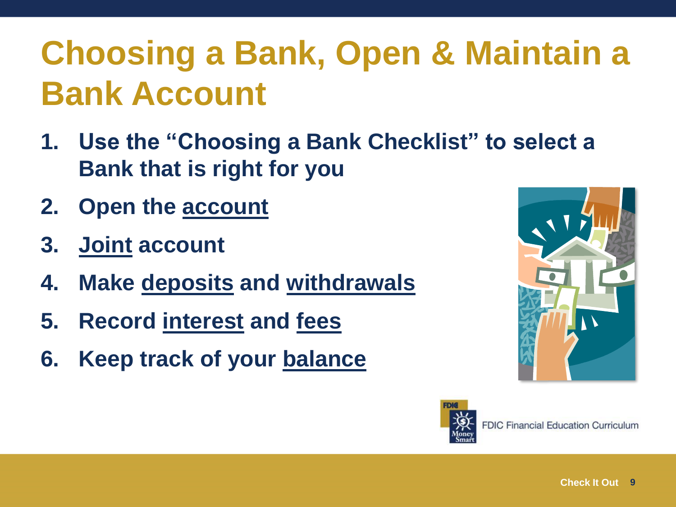# **Choosing a Bank, Open & Maintain a Bank Account**

- **1. Use the "Choosing a Bank Checklist" to select a Bank that is right for you**
- **2. Open the account**
- **3. Joint account**
- **4. Make deposits and withdrawals**
- **5. Record interest and fees**
- **6. Keep track of your balance**



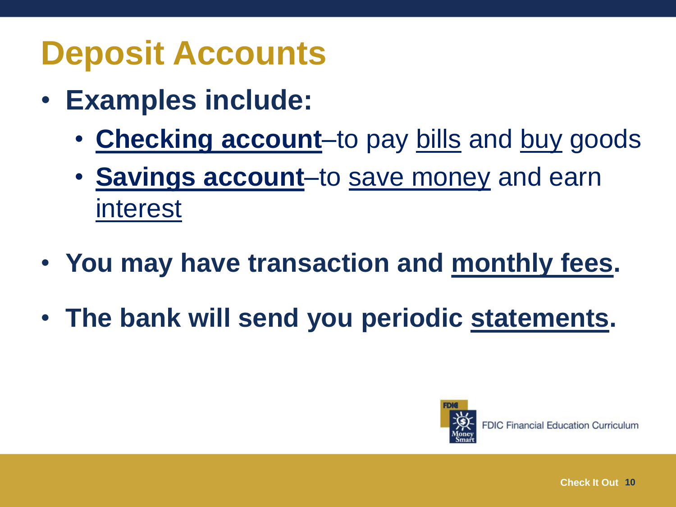#### **Deposit Accounts**

- **Examples include:** 
	- **Checking account**–to pay bills and buy goods
	- **Savings account**–to save money and earn interest
- **You may have transaction and monthly fees.**
- **The bank will send you periodic statements.**

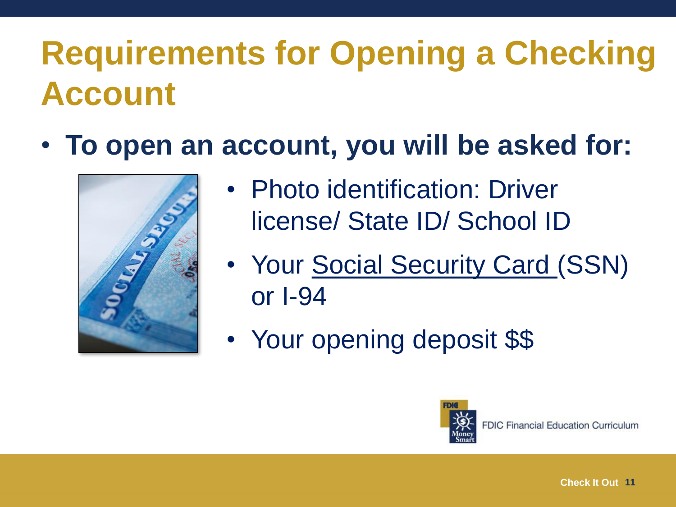## **Requirements for Opening a Checking Account**

• **To open an account, you will be asked for:**



- Photo identification: Driver license/ State ID/ School ID
- Your Social Security Card (SSN) or I-94
- Your opening deposit \$\$

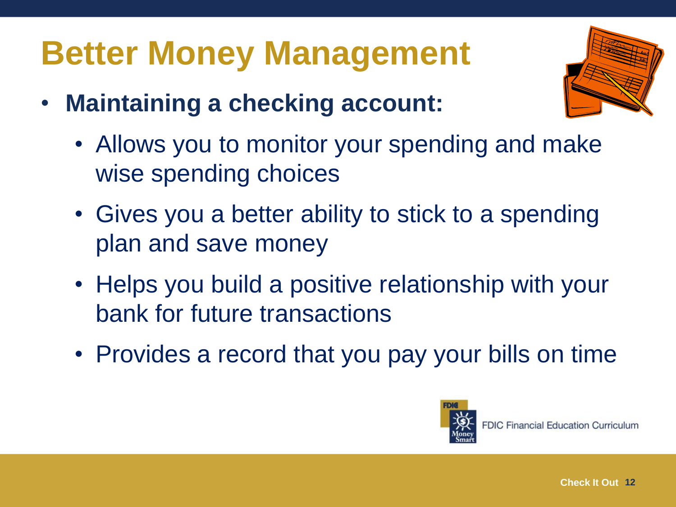# **Better Money Management**

- **Maintaining a checking account:**
	- Allows you to monitor your spending and make wise spending choices
	- Gives you a better ability to stick to a spending plan and save money
	- Helps you build a positive relationship with your bank for future transactions
	- Provides a record that you pay your bills on time

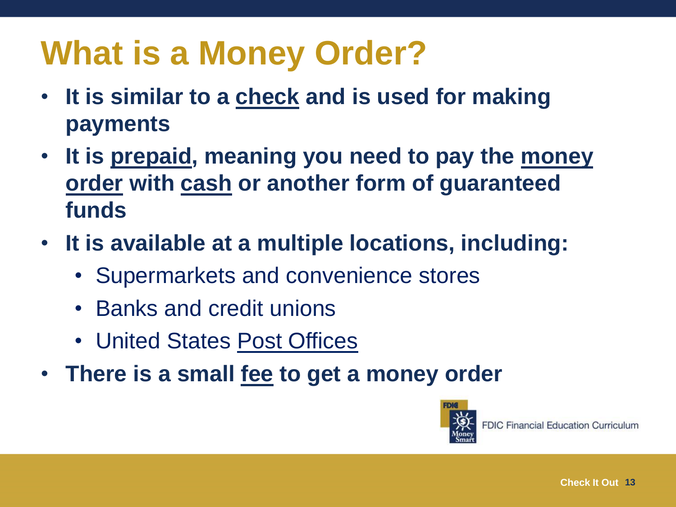## **What is a Money Order?**

- **It is similar to a check and is used for making payments**
- **It is prepaid, meaning you need to pay the money order with cash or another form of guaranteed funds**
- **It is available at a multiple locations, including:**
	- Supermarkets and convenience stores
	- Banks and credit unions
	- United States Post Offices
- **There is a small fee to get a money order**

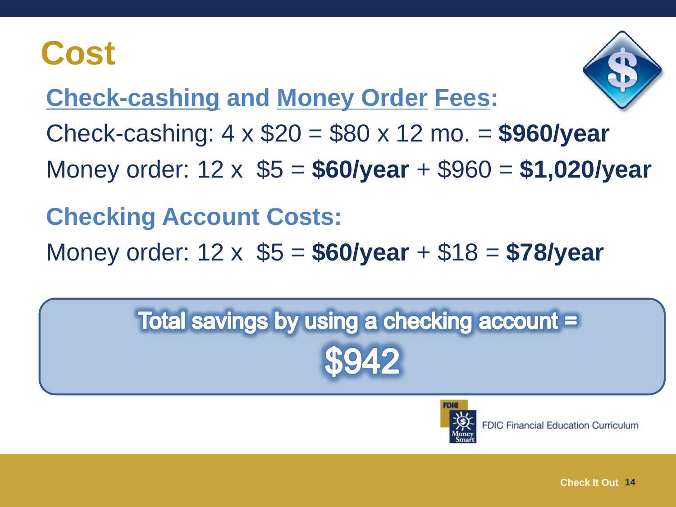#### **Cost**



**Check-cashing and Money Order Fees:**

Check-cashing: 4 x \$20 = \$80 x 12 mo. = **\$960/year**

Money order: 12 x \$5 = **\$60/year** + \$960 = **\$1,020/year**

#### **Checking Account Costs:**

Money order: 12 x \$5 = **\$60/year** + \$18 = **\$78/year**

# Total savings by using a checking account =

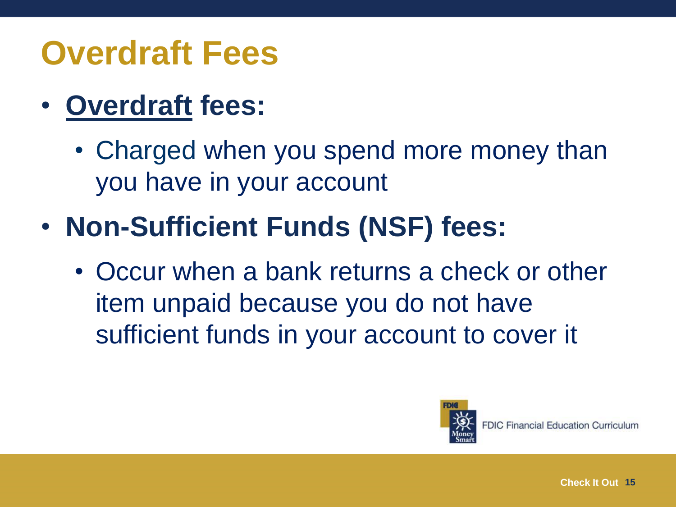#### **Overdraft Fees**

- **Overdraft fees:**
	- Charged when you spend more money than you have in your account
- **Non-Sufficient Funds (NSF) fees:**
	- Occur when a bank returns a check or other item unpaid because you do not have sufficient funds in your account to cover it

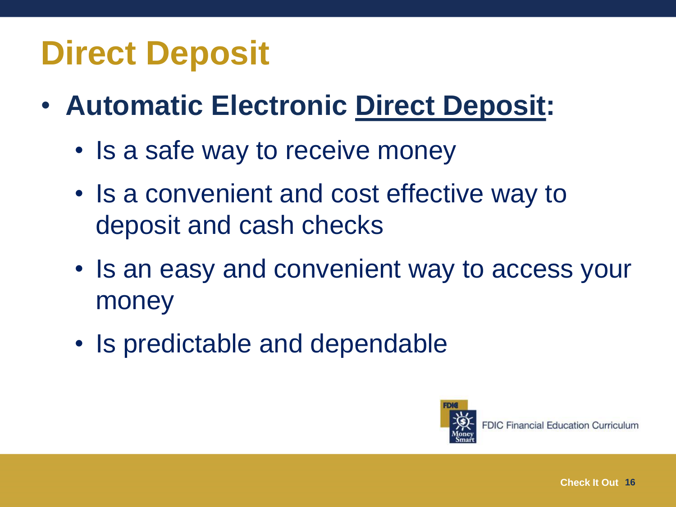#### **Direct Deposit**

- **Automatic Electronic Direct Deposit:**
	- Is a safe way to receive money
	- Is a convenient and cost effective way to deposit and cash checks
	- Is an easy and convenient way to access your money
	- Is predictable and dependable

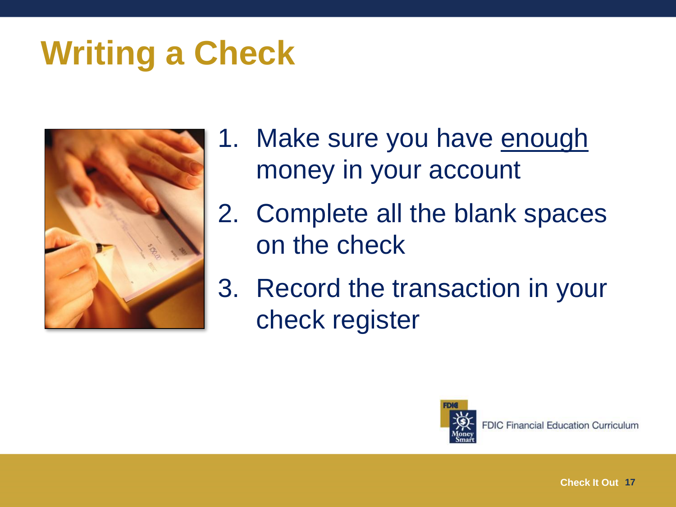#### **Writing a Check**



- 1. Make sure you have enough money in your account
- 2. Complete all the blank spaces on the check
- 3. Record the transaction in your check register

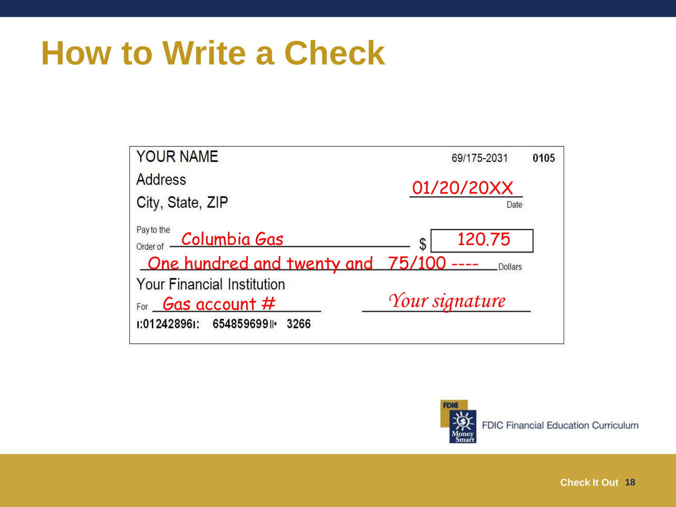#### **How to Write a Check**





**Check It Out 18**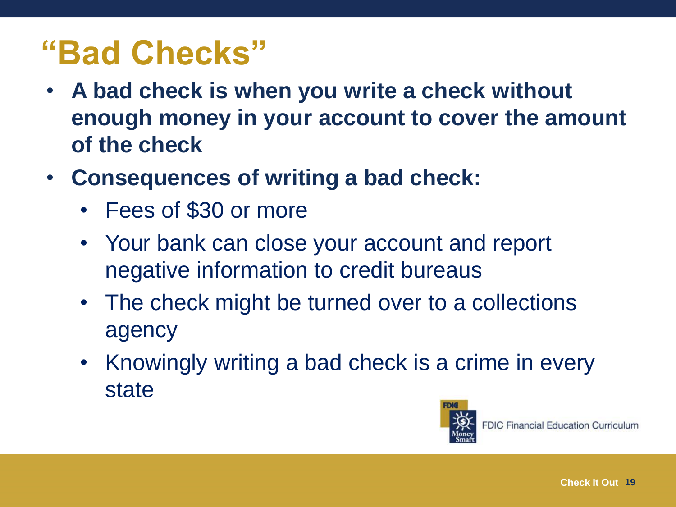#### **"Bad Checks"**

- **A bad check is when you write a check without enough money in your account to cover the amount of the check**
- **Consequences of writing a bad check:** 
	- Fees of \$30 or more
	- Your bank can close your account and report negative information to credit bureaus
	- The check might be turned over to a collections agency
	- Knowingly writing a bad check is a crime in every state

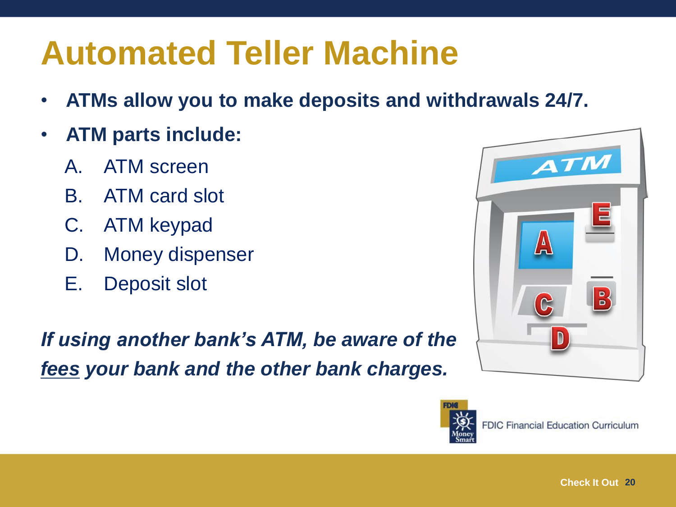#### **Automated Teller Machine**

- **ATMs allow you to make deposits and withdrawals 24/7.**
- **ATM parts include:**
	- A. ATM screen
	- B. ATM card slot
	- C. ATM keypad
	- D. Money dispenser
	- E. Deposit slot

*If using another bank's ATM, be aware of the fees your bank and the other bank charges.*



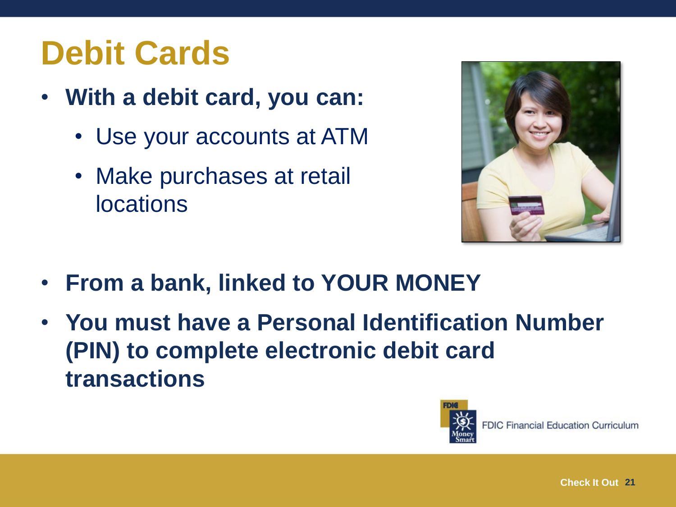## **Debit Cards**

- **With a debit card, you can:**
	- Use your accounts at ATM
	- Make purchases at retail locations



- **From a bank, linked to YOUR MONEY**
- **You must have a Personal Identification Number (PIN) to complete electronic debit card transactions**

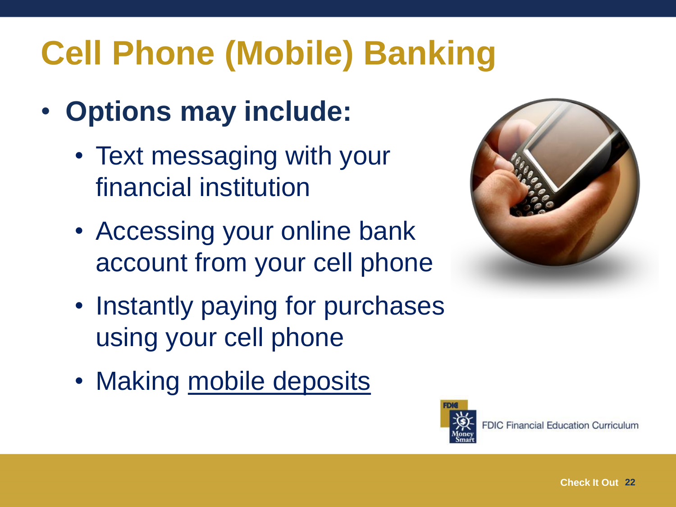# **Cell Phone (Mobile) Banking**

- **Options may include:**
	- Text messaging with your financial institution
	- Accessing your online bank account from your cell phone
	- Instantly paying for purchases using your cell phone
	- Making mobile deposits



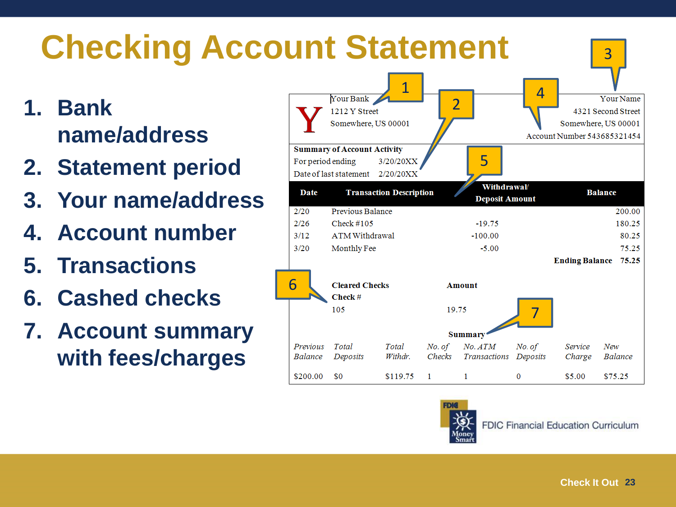



**FDIC Financial Education Curriculum**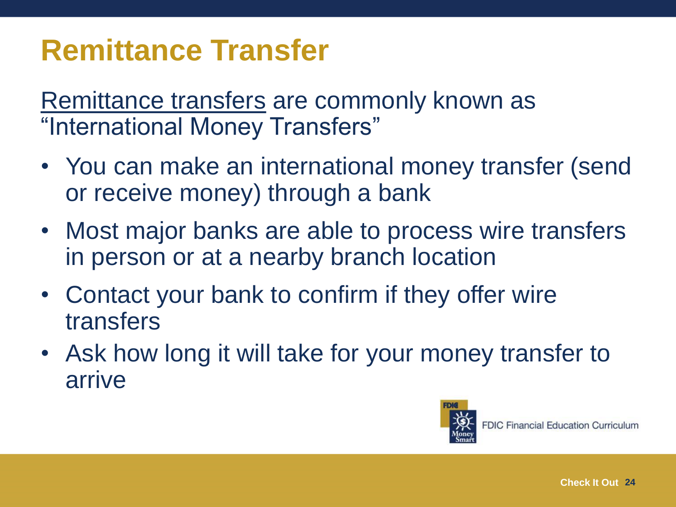#### **Remittance Transfer**

Remittance transfers are commonly known as "International Money Transfers"

- You can make an international money transfer (send or receive money) through a bank
- Most major banks are able to process wire transfers in person or at a nearby branch location
- Contact your bank to confirm if they offer wire transfers
- Ask how long it will take for your money transfer to arrive

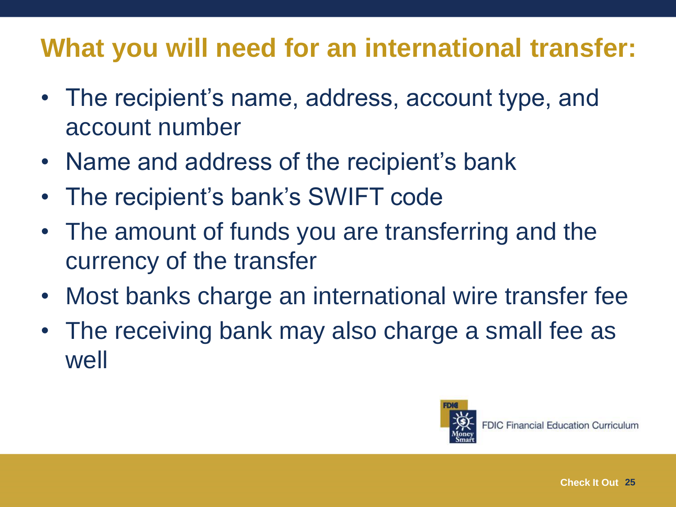#### **What you will need for an international transfer:**

- The recipient's name, address, account type, and account number
- Name and address of the recipient's bank
- The recipient's bank's SWIFT code
- The amount of funds you are transferring and the currency of the transfer
- Most banks charge an international wire transfer fee
- The receiving bank may also charge a small fee as well

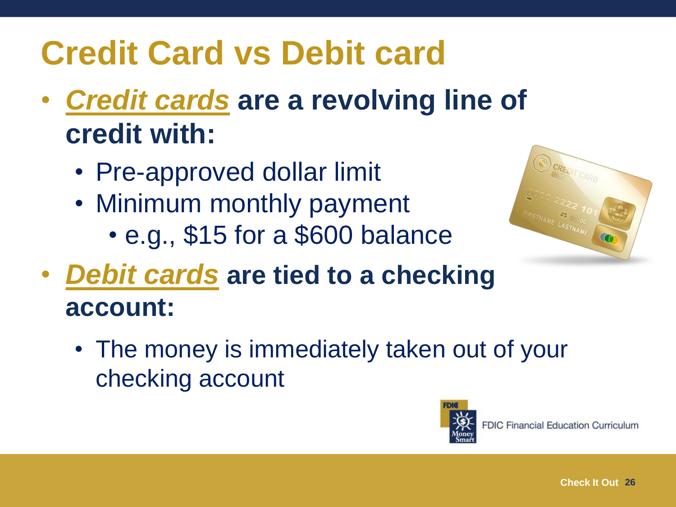# **Credit Card vs Debit card**

- *Credit cards* **are a revolving line of credit with:**
	- Pre-approved dollar limit
	- Minimum monthly payment
		- e.g., \$15 for a \$600 balance



- *Debit cards* **are tied to a checking account:** 
	- The money is immediately taken out of your checking account

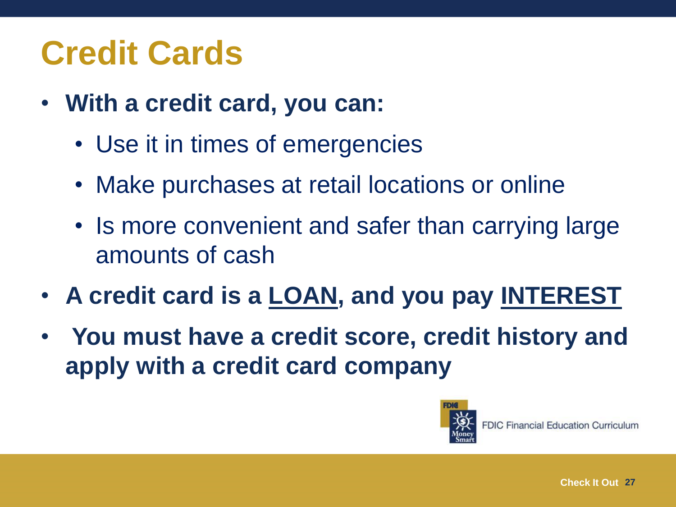## **Credit Cards**

- **With a credit card, you can:**
	- Use it in times of emergencies
	- Make purchases at retail locations or online
	- Is more convenient and safer than carrying large amounts of cash
- **A credit card is a LOAN, and you pay INTEREST**
- **You must have a credit score, credit history and apply with a credit card company**

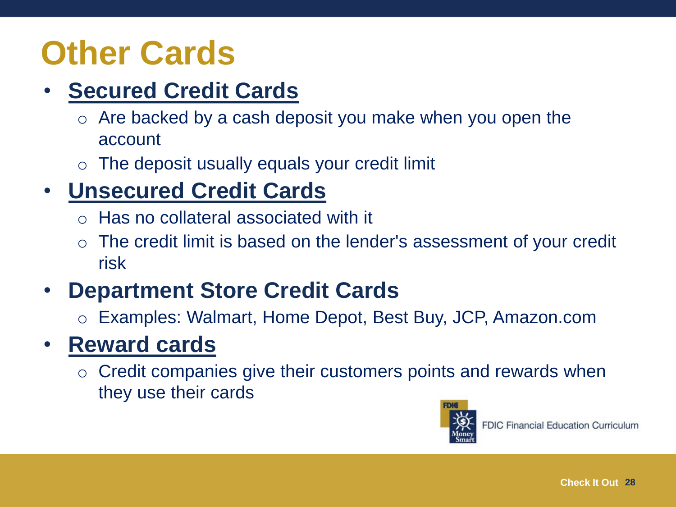### **Other Cards**

#### • **Secured Credit Cards**

- $\circ$  Are backed by a cash deposit you make when you open the account
- $\circ$  The deposit usually equals your credit limit

#### • **Unsecured Credit Cards**

- o Has no collateral associated with it
- $\circ$  The credit limit is based on the lender's assessment of your credit risk

#### • **Department Store Credit Cards**

o Examples: Walmart, Home Depot, Best Buy, JCP, Amazon.com

#### • **Reward cards**

o Credit companies give their customers points and rewards when they use their cards

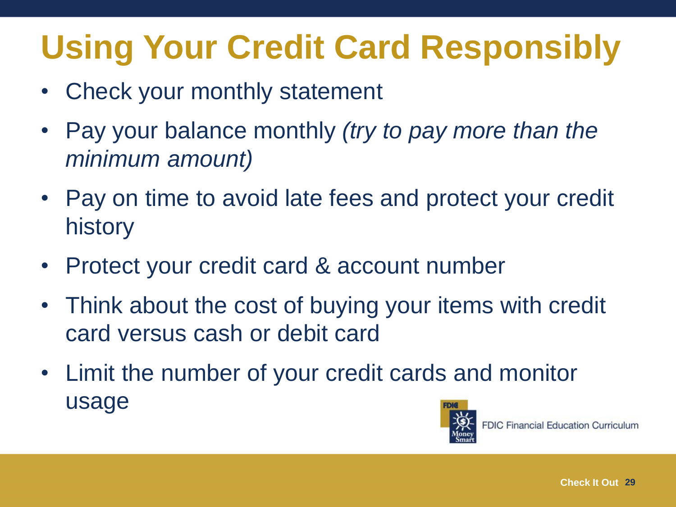# **Using Your Credit Card Responsibly**

- Check your monthly statement
- Pay your balance monthly *(try to pay more than the minimum amount)*
- Pay on time to avoid late fees and protect your credit history
- Protect your credit card & account number
- Think about the cost of buying your items with credit card versus cash or debit card
- Limit the number of your credit cards and monitor usage